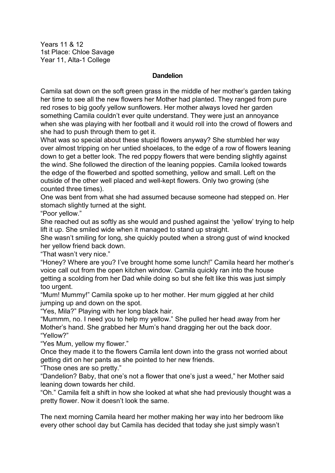Years 11 & 12 1st Place: Chloe Savage Year 11, Alta-1 College

## **Dandelion**

Camila sat down on the soft green grass in the middle of her mother's garden taking her time to see all the new flowers her Mother had planted. They ranged from pure red roses to big goofy yellow sunflowers. Her mother always loved her garden something Camila couldn't ever quite understand. They were just an annoyance when she was playing with her football and it would roll into the crowd of flowers and she had to push through them to get it.

What was so special about these stupid flowers anyway? She stumbled her way over almost tripping on her untied shoelaces, to the edge of a row of flowers leaning down to get a better look. The red poppy flowers that were bending slightly against the wind. She followed the direction of the leaning poppies. Camila looked towards the edge of the flowerbed and spotted something, yellow and small. Left on the outside of the other well placed and well-kept flowers. Only two growing (she counted three times).

One was bent from what she had assumed because someone had stepped on. Her stomach slightly turned at the sight.

"Poor yellow."

She reached out as softly as she would and pushed against the 'yellow' trying to help lift it up. She smiled wide when it managed to stand up straight.

She wasn't smiling for long, she quickly pouted when a strong gust of wind knocked her yellow friend back down.

"That wasn't very nice."

"Honey? Where are you? I've brought home some lunch!" Camila heard her mother's voice call out from the open kitchen window. Camila quickly ran into the house getting a scolding from her Dad while doing so but she felt like this was just simply too urgent.

"Mum! Mummy!" Camila spoke up to her mother. Her mum giggled at her child jumping up and down on the spot.

"Yes, Mila?" Playing with her long black hair.

"Mummm, no. I need you to help my yellow." She pulled her head away from her Mother's hand. She grabbed her Mum's hand dragging her out the back door. "Yellow?"

"Yes Mum, yellow my flower."

Once they made it to the flowers Camila lent down into the grass not worried about getting dirt on her pants as she pointed to her new friends.

"Those ones are so pretty."

"Dandelion? Baby, that one's not a flower that one's just a weed," her Mother said leaning down towards her child.

"Oh." Camila felt a shift in how she looked at what she had previously thought was a pretty flower. Now it doesn't look the same.

The next morning Camila heard her mother making her way into her bedroom like every other school day but Camila has decided that today she just simply wasn't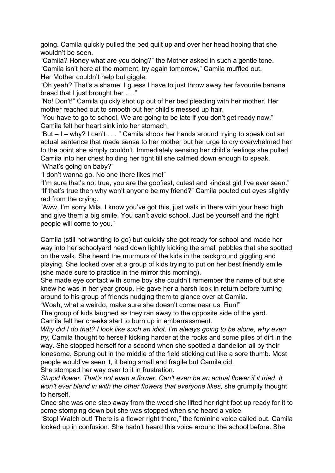going. Camila quickly pulled the bed quilt up and over her head hoping that she wouldn't be seen.

"Camila? Honey what are you doing?" the Mother asked in such a gentle tone. "Camila isn't here at the moment, try again tomorrow," Camila muffled out. Her Mother couldn't help but giggle.

"Oh yeah? That's a shame, I guess I have to just throw away her favourite banana bread that I just brought her . . ."

"No! Don't!" Camila quickly shot up out of her bed pleading with her mother. Her mother reached out to smooth out her child's messed up hair.

"You have to go to school. We are going to be late if you don't get ready now." Camila felt her heart sink into her stomach.

"But – I – why? I can't . . . " Camila shook her hands around trying to speak out an actual sentence that made sense to her mother but her urge to cry overwhelmed her to the point she simply couldn't. Immediately sensing her child's feelings she pulled Camila into her chest holding her tight till she calmed down enough to speak. "What's going on baby?"

"I don't wanna go. No one there likes me!"

"I'm sure that's not true, you are the goofiest, cutest and kindest girl I've ever seen." "If that's true then why won't anyone be my friend?" Camila pouted out eyes slightly red from the crying.

"Aww, I'm sorry Mila. I know you've got this, just walk in there with your head high and give them a big smile. You can't avoid school. Just be yourself and the right people will come to you."

Camila (still not wanting to go) but quickly she got ready for school and made her way into her schoolyard head down lightly kicking the small pebbles that she spotted on the walk. She heard the murmurs of the kids in the background giggling and playing. She looked over at a group of kids trying to put on her best friendly smile (she made sure to practice in the mirror this morning).

She made eye contact with some boy she couldn't remember the name of but she knew he was in her year group. He gave her a harsh look in return before turning around to his group of friends nudging them to glance over at Camila.

"Woah, what a weirdo, make sure she doesn't come near us. Run!"

The group of kids laughed as they ran away to the opposite side of the yard. Camila felt her cheeks start to burn up in embarrassment.

*Why did I do that? I look like such an idiot. I'm always going to be alone, why even try,* Camila thought to herself kicking harder at the rocks and some piles of dirt in the way. She stopped herself for a second when she spotted a dandelion all by their lonesome. Sprung out in the middle of the field sticking out like a sore thumb. Most people would've seen it, it being small and fragile but Camila did. She stomped her way over to it in frustration.

*Stupid flower. That's not even a flower. Can't even be an actual flower if it tried. It won't ever blend in with the other flowers that everyone likes,* she grumpily thought to herself.

Once she was one step away from the weed she lifted her right foot up ready for it to come stomping down but she was stopped when she heard a voice

"Stop! Watch out! There is a flower right there," the feminine voice called out. Camila looked up in confusion. She hadn't heard this voice around the school before. She